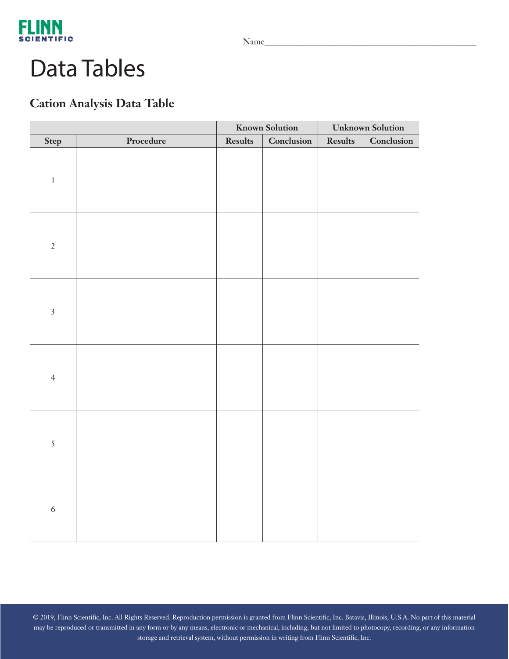

## Data Tables

### **Cation Analysis Data Table**

|                  |           | <b>Known Solution</b> |            | <b>Unknown Solution</b> |            |
|------------------|-----------|-----------------------|------------|-------------------------|------------|
| Step             | Procedure | <b>Results</b>        | Conclusion | Results                 | Conclusion |
| $\,1$            |           |                       |            |                         |            |
| $\sqrt{2}$       |           |                       |            |                         |            |
| $\overline{3}$   |           |                       |            |                         |            |
| $\overline{4}$   |           |                       |            |                         |            |
| $\sqrt{5}$       |           |                       |            |                         |            |
| $\boldsymbol{6}$ |           |                       |            |                         |            |

© 2019, Flinn Scientific, Inc. All Rights Reserved. Reproduction permission is granted from Flinn Scientific, Inc. Batavia, Illinois, U.S.A. No part of this material may be reproduced or transmitted in any form or by any means, electronic or mechanical, including, but not limited to photocopy, recording, or any information storage and retrieval system, without permission in writing from Flinn Scientific, Inc.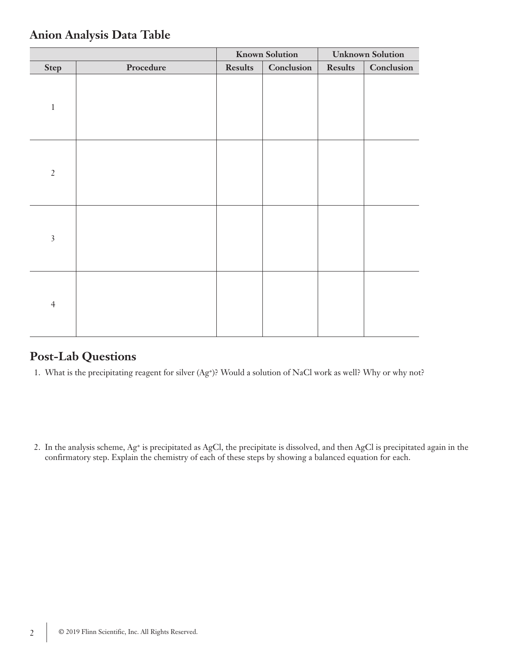|                |           | <b>Known Solution</b> |            | <b>Unknown Solution</b> |            |
|----------------|-----------|-----------------------|------------|-------------------------|------------|
| <b>Step</b>    | Procedure | <b>Results</b>        | Conclusion | <b>Results</b>          | Conclusion |
| $\,1\,$        |           |                       |            |                         |            |
| $\sqrt{2}$     |           |                       |            |                         |            |
| $\overline{3}$ |           |                       |            |                         |            |
| $\overline{4}$ |           |                       |            |                         |            |

### **Anion Analysis Data Table**

### **Post-Lab Questions**

1. What is the precipitating reagent for silver (Ag+)? Would a solution of NaCl work as well? Why or why not?

2. In the analysis scheme, Ag+ is precipitated as AgCl, the precipitate is dissolved, and then AgCl is precipitated again in the confirmatory step. Explain the chemistry of each of these steps by showing a balanced equation for each.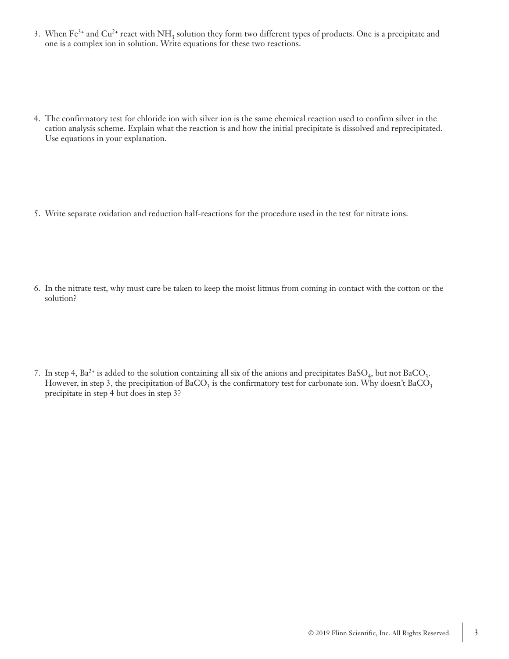- 3. When  $Fe^{3+}$  and  $Cu^{2+}$  react with  $NH_3$  solution they form two different types of products. One is a precipitate and one is a complex ion in solution. Write equations for these two reactions.
- 4. The confirmatory test for chloride ion with silver ion is the same chemical reaction used to confirm silver in the cation analysis scheme. Explain what the reaction is and how the initial precipitate is dissolved and reprecipitated. Use equations in your explanation.
- 5. Write separate oxidation and reduction half-reactions for the procedure used in the test for nitrate ions.
- 6. In the nitrate test, why must care be taken to keep the moist litmus from coming in contact with the cotton or the solution?
- 7. In step 4,  $Ba^{2+}$  is added to the solution containing all six of the anions and precipitates  $BaSO_4$ , but not  $BaCO_3$ . However, in step 3, the precipitation of BaCO<sub>3</sub> is the confirmatory test for carbonate ion. Why doesn't BaCO<sub>3</sub> precipitate in step 4 but does in step 3?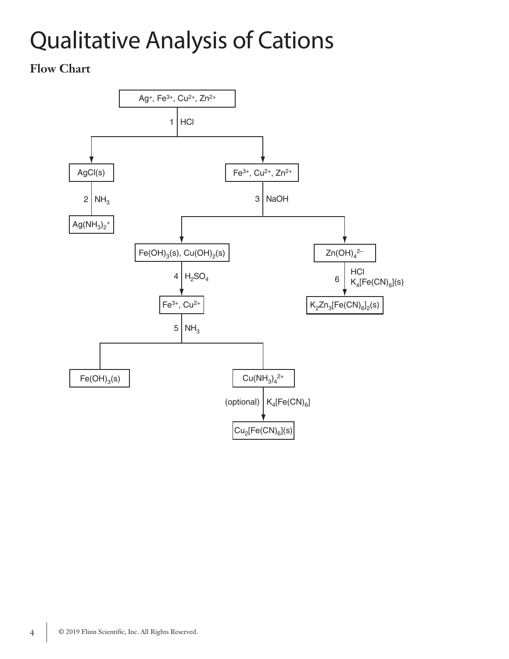# Qualitative Analysis of Cations

#### **Flow Chart**